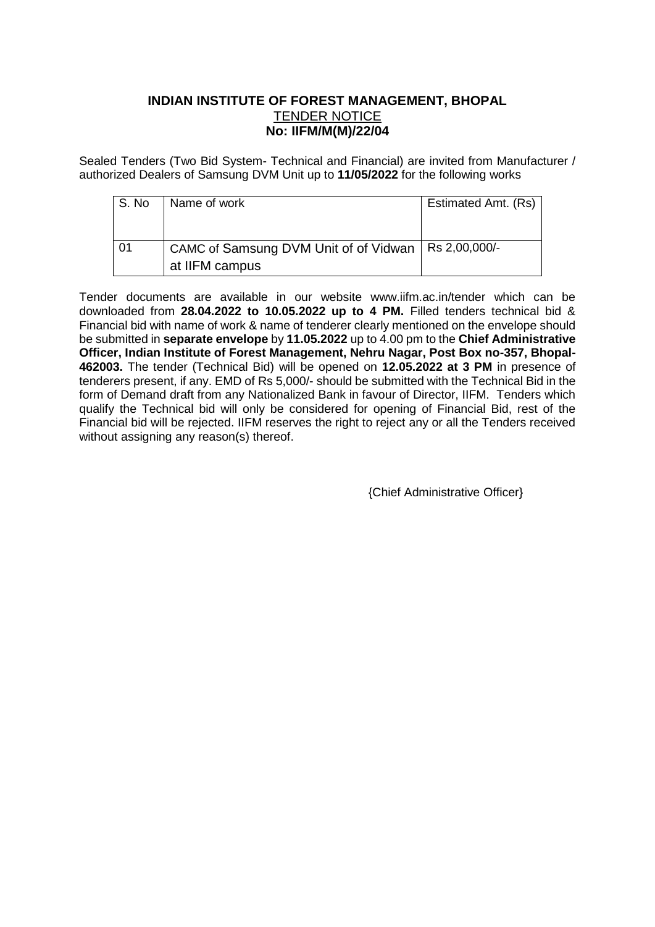## **INDIAN INSTITUTE OF FOREST MANAGEMENT, BHOPAL** TENDER NOTICE **No: IIFM/M(M)/22/04**

Sealed Tenders (Two Bid System- Technical and Financial) are invited from Manufacturer / authorized Dealers of Samsung DVM Unit up to **11/05/2022** for the following works

| l S. No | Name of work                                          | Estimated Amt. (Rs) |
|---------|-------------------------------------------------------|---------------------|
|         |                                                       |                     |
|         |                                                       |                     |
| -01     | CAMC of Samsung DVM Unit of of Vidwan   Rs 2,00,000/- |                     |
|         | at IIFM campus                                        |                     |

Tender documents are available in our website www.iifm.ac.in/tender which can be downloaded from **28.04.2022 to 10.05.2022 up to 4 PM.** Filled tenders technical bid & Financial bid with name of work & name of tenderer clearly mentioned on the envelope should be submitted in **separate envelope** by **11.05.2022** up to 4.00 pm to the **Chief Administrative Officer, Indian Institute of Forest Management, Nehru Nagar, Post Box no-357, Bhopal-462003.** The tender (Technical Bid) will be opened on **12.05.2022 at 3 PM** in presence of tenderers present, if any. EMD of Rs 5,000/- should be submitted with the Technical Bid in the form of Demand draft from any Nationalized Bank in favour of Director, IIFM. Tenders which qualify the Technical bid will only be considered for opening of Financial Bid, rest of the Financial bid will be rejected. IIFM reserves the right to reject any or all the Tenders received without assigning any reason(s) thereof.

{Chief Administrative Officer}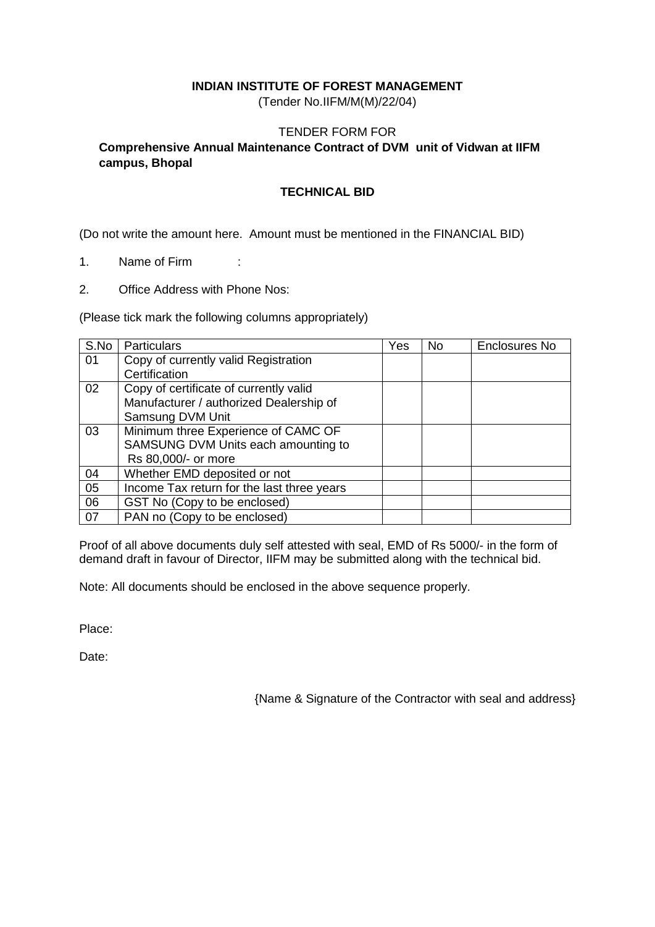### **INDIAN INSTITUTE OF FOREST MANAGEMENT**

(Tender No.IIFM/M(M)/22/04)

### TENDER FORM FOR

## **Comprehensive Annual Maintenance Contract of DVM unit of Vidwan at IIFM campus, Bhopal**

#### **TECHNICAL BID**

(Do not write the amount here. Amount must be mentioned in the FINANCIAL BID)

- 1. Name of Firm :
- 2. Office Address with Phone Nos:

(Please tick mark the following columns appropriately)

| S.No | <b>Particulars</b>                         | Yes | <b>No</b> | Enclosures No |
|------|--------------------------------------------|-----|-----------|---------------|
| 01   | Copy of currently valid Registration       |     |           |               |
|      | Certification                              |     |           |               |
| 02   | Copy of certificate of currently valid     |     |           |               |
|      | Manufacturer / authorized Dealership of    |     |           |               |
|      | Samsung DVM Unit                           |     |           |               |
| 03   | Minimum three Experience of CAMC OF        |     |           |               |
|      | SAMSUNG DVM Units each amounting to        |     |           |               |
|      | Rs 80,000/- or more                        |     |           |               |
| 04   | Whether EMD deposited or not               |     |           |               |
| 05   | Income Tax return for the last three years |     |           |               |
| 06   | GST No (Copy to be enclosed)               |     |           |               |
| 07   | PAN no (Copy to be enclosed)               |     |           |               |

Proof of all above documents duly self attested with seal, EMD of Rs 5000/- in the form of demand draft in favour of Director, IIFM may be submitted along with the technical bid.

Note: All documents should be enclosed in the above sequence properly.

Place:

Date:

{Name & Signature of the Contractor with seal and address}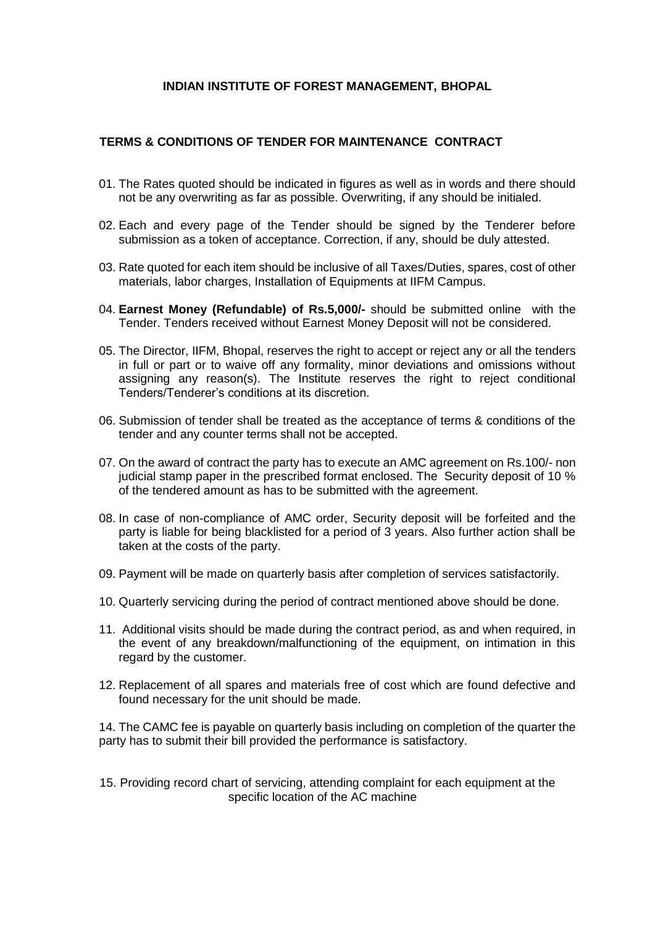#### **INDIAN INSTITUTE OF FOREST MANAGEMENT, BHOPAL**

### **TERMS & CONDITIONS OF TENDER FOR MAINTENANCE CONTRACT**

- 01. The Rates quoted should be indicated in figures as well as in words and there should not be any overwriting as far as possible. Overwriting, if any should be initialed.
- 02. Each and every page of the Tender should be signed by the Tenderer before submission as a token of acceptance. Correction, if any, should be duly attested.
- 03. Rate quoted for each item should be inclusive of all Taxes/Duties, spares, cost of other materials, labor charges, Installation of Equipments at IIFM Campus.
- 04. **Earnest Money (Refundable) of Rs.5,000/-** should be submitted online with the Tender. Tenders received without Earnest Money Deposit will not be considered.
- 05. The Director, IIFM, Bhopal, reserves the right to accept or reject any or all the tenders in full or part or to waive off any formality, minor deviations and omissions without assigning any reason(s). The Institute reserves the right to reject conditional Tenders/Tenderer's conditions at its discretion.
- 06. Submission of tender shall be treated as the acceptance of terms & conditions of the tender and any counter terms shall not be accepted.
- 07. On the award of contract the party has to execute an AMC agreement on Rs.100/- non judicial stamp paper in the prescribed format enclosed. The Security deposit of 10 % of the tendered amount as has to be submitted with the agreement.
- 08. In case of non-compliance of AMC order, Security deposit will be forfeited and the party is liable for being blacklisted for a period of 3 years. Also further action shall be taken at the costs of the party.
- 09. Payment will be made on quarterly basis after completion of services satisfactorily.
- 10. Quarterly servicing during the period of contract mentioned above should be done.
- 11. Additional visits should be made during the contract period, as and when required, in the event of any breakdown/malfunctioning of the equipment, on intimation in this regard by the customer.
- 12. Replacement of all spares and materials free of cost which are found defective and found necessary for the unit should be made.

14. The CAMC fee is payable on quarterly basis including on completion of the quarter the party has to submit their bill provided the performance is satisfactory.

15. Providing record chart of servicing, attending complaint for each equipment at the specific location of the AC machine